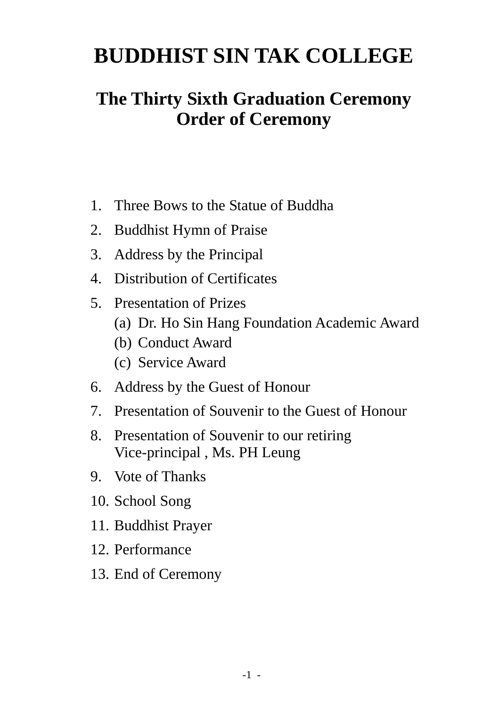# **BUDDHIST SIN TAK COLLEGE**

### **The Thirty Sixth Graduation Ceremony Order of Ceremony**

- 1. Three Bows to the Statue of Buddha
- 2. Buddhist Hymn of Praise
- 3. Address by the Principal
- 4. Distribution of Certificates
- 5. Presentation of Prizes
	- (a) Dr. Ho Sin Hang Foundation Academic Award
	- (b) Conduct Award
	- (c) Service Award
- 6. Address by the Guest of Honour
- 7. Presentation of Souvenir to the Guest of Honour
- 8. Presentation of Souvenir to our retiring Vice-principal , Ms. PH Leung
- 9. Vote of Thanks
- 10. School Song
- 11. Buddhist Prayer
- 12. Performance
- 13. End of Ceremony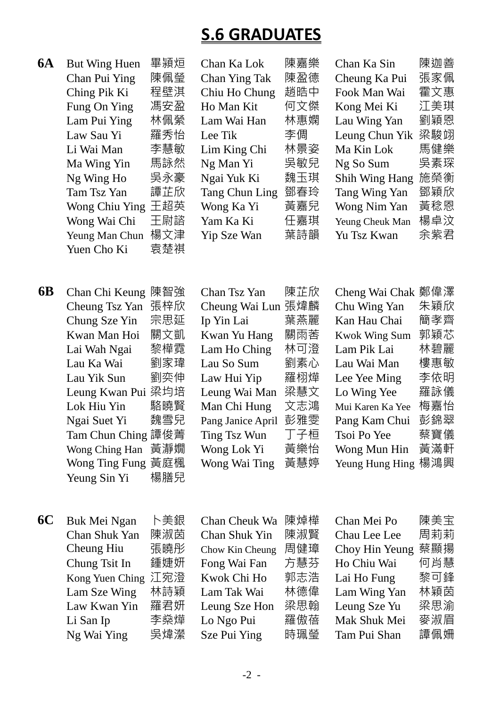### **S.6 GRADUATES**

| 6A | <b>But Wing Huen</b> | 畢潁烜 | Chan Ka Lok       | 陳嘉樂 | Chan Ka Sin           | 陳迦善 |
|----|----------------------|-----|-------------------|-----|-----------------------|-----|
|    | Chan Pui Ying        | 陳佩瑩 | Chan Ying Tak     | 陳盈德 | Cheung Ka Pui         | 張家佩 |
|    | Ching Pik Ki         | 程壁淇 | Chiu Ho Chung     | 趙晧中 | Fook Man Wai          | 霍文惠 |
|    | Fung On Ying         | 馮安盈 | Ho Man Kit        | 何文傑 | Kong Mei Ki           | 江美琪 |
|    | Lam Pui Ying         | 林佩縈 | Lam Wai Han       | 林惠嫻 | Lau Wing Yan          | 劉穎恩 |
|    | Law Sau Yi           | 羅秀怡 | Lee Tik           | 李倜  | Leung Chun Yik        | 梁駿翊 |
|    | Li Wai Man           | 李慧敏 | Lim King Chi      | 林景姿 | Ma Kin Lok            | 馬健樂 |
|    | Ma Wing Yin          | 馬詠然 | Ng Man Yi         | 吳敏兒 | Ng So Sum             | 吳素琛 |
|    | Ng Wing Ho           | 吳永豪 | Ngai Yuk Ki       | 魏玉琪 | <b>Shih Wing Hang</b> | 施榮衡 |
|    | Tam Tsz Yan          | 譚芷欣 | Tang Chun Ling    | 鄧春玲 | Tang Wing Yan         | 鄧穎欣 |
|    | Wong Chiu Ying       | 王超英 | Wong Ka Yi        | 黃嘉兒 | Wong Nim Yan          | 黃稔恩 |
|    | Wong Wai Chi         | 王尉諮 | Yam Ka Ki         | 任嘉琪 | Yeung Cheuk Man       | 楊卓汶 |
|    | Yeung Man Chun       | 楊文津 | Yip Sze Wan       | 葉詩韻 | Yu Tsz Kwan           | 余紫君 |
|    | Yuen Cho Ki          | 袁楚祺 |                   |     |                       |     |
|    |                      |     |                   |     |                       |     |
| 6B | Chan Chi Keung       | 陳智強 | Chan Tsz Yan      | 陳芷欣 | Cheng Wai Chak 鄭偉澤    |     |
|    | Cheung Tsz Yan       | 張梓欣 | Cheung Wai Lun    | 張煒麟 | Chu Wing Yan          | 朱穎欣 |
|    | Chung Sze Yin        | 宗思延 | Ip Yin Lai        | 葉燕麗 | Kan Hau Chai          | 簡孝齊 |
|    | Kwan Man Hoi         | 關文凱 | Kwan Yu Hang      | 關雨莕 | <b>Kwok Wing Sum</b>  | 郭穎芯 |
|    | Lai Wah Ngai         | 黎樺霓 | Lam Ho Ching      | 林可澄 | Lam Pik Lai           | 林碧麗 |
|    | Lau Ka Wai           | 劉家瑋 | Lau So Sum        | 劉素心 | Lau Wai Man           | 樓惠敏 |
|    | Lau Yik Sun          | 劉奕伸 | Law Hui Yip       | 羅栩燁 | Lee Yee Ming          | 李依明 |
|    | Leung Kwan Pui       | 梁均培 | Leung Wai Man     | 梁慧文 | Lo Wing Yee           | 羅詠儀 |
|    | Lok Hiu Yin          | 駱曉賢 | Man Chi Hung      | 文志鴻 | Mui Karen Ka Yee      | 梅嘉怡 |
|    | Ngai Suet Yi         | 魏雪兒 | Pang Janice April | 彭雅雯 | Pang Kam Chui         | 彭錦翠 |
|    | Tam Chun Ching 譚俊菁   |     | Ting Tsz Wun      | 丁子桓 | Tsoi Po Yee           | 蔡寶儀 |
|    | Wong Ching Han 黃瀞嫺   |     | Wong Lok Yi       | 黃樂怡 | Wong Mun Hin          | 黃滿軒 |
|    | Wong Ting Fung 黃庭楓   |     | Wong Wai Ting     | 黃慧婷 | Yeung Hung Hing 楊鴻興   |     |
|    | Yeung Sin Yi         | 楊膳兒 |                   |     |                       |     |
|    |                      |     |                   |     |                       |     |
| 6C | Buk Mei Ngan         | ト美銀 | Chan Cheuk Wa     | 陳焯樺 | Chan Mei Po           | 陳美宝 |
|    | Chan Shuk Yan        | 陳淑茵 | Chan Shuk Yin     | 陳淑賢 | Chau Lee Lee          | 周莉莉 |
|    | Cheung Hiu           | 張曉彤 | Chow Kin Cheung   | 周健璋 | Choy Hin Yeung        | 蔡顯揚 |
|    | Chung Tsit In        | 鍾婕妍 | Fong Wai Fan      | 方慧芬 | Ho Chiu Wai           | 何肖慧 |
|    | Kong Yuen Ching      | 江宛澄 | Kwok Chi Ho       | 郭志浩 | Lai Ho Fung           | 黎可鋒 |
|    | Lam Sze Wing         | 林詩穎 | Lam Tak Wai       | 林德偉 | Lam Wing Yan          | 林穎茵 |
|    | Law Kwan Yin         | 羅君妍 | Leung Sze Hon     | 梁思翰 | Leung Sze Yu          | 梁思渝 |
|    | Li San Ip            | 李燊燁 | Lo Ngo Pui        | 羅傲蓓 | Mak Shuk Mei          | 麥淑眉 |
|    | Ng Wai Ying          | 吳煒瀠 | Sze Pui Ying      | 時珮瑩 | Tam Pui Shan          | 譚佩姍 |
|    |                      |     |                   |     |                       |     |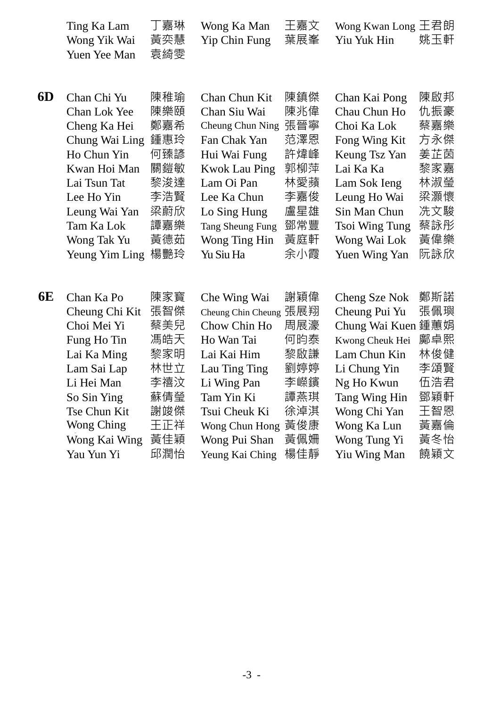|    | Ting Ka Lam<br>Wong Yik Wai<br>Yuen Yee Man                                                                                                                                                | 丁嘉琳<br>黃奕慧<br>袁綺雯                                                                | Wong Ka Man<br>Yip Chin Fung                                                                                                                                                                             | 王嘉文<br>葉展峯                                                                       | Wong Kwan Long 王君朗<br>Yiu Yuk Hin                                                                                                                                                                     | 姚玉軒                                                                              |
|----|--------------------------------------------------------------------------------------------------------------------------------------------------------------------------------------------|----------------------------------------------------------------------------------|----------------------------------------------------------------------------------------------------------------------------------------------------------------------------------------------------------|----------------------------------------------------------------------------------|-------------------------------------------------------------------------------------------------------------------------------------------------------------------------------------------------------|----------------------------------------------------------------------------------|
| 6D | Chan Chi Yu<br>Chan Lok Yee<br>Cheng Ka Hei<br>Chung Wai Ling<br>Ho Chun Yin<br>Kwan Hoi Man<br>Lai Tsun Tat<br>Lee Ho Yin<br>Leung Wai Yan<br>Tam Ka Lok<br>Wong Tak Yu<br>Yeung Yim Ling | 陳稚瑜<br>陳樂頤<br>鄭嘉希<br>鍾惠玲<br>何臻諺<br>關鎧敏<br>黎浚達<br>李浩賢<br>梁蔚欣<br>譚嘉樂<br>黃德茹<br>楊艷玲 | Chan Chun Kit<br>Chan Siu Wai<br>Cheung Chun Ning<br>Fan Chak Yan<br>Hui Wai Fung<br><b>Kwok Lau Ping</b><br>Lam Oi Pan<br>Lee Ka Chun<br>Lo Sing Hung<br>Tang Sheung Fung<br>Wong Ting Hin<br>Yu Siu Ha | 陳鎮傑<br>陳兆偉<br>張晉寧<br>范澤恩<br>許煒峰<br>郭柳萍<br>林愛蘋<br>李嘉俊<br>盧星雄<br>鄧常豐<br>黃庭軒<br>余小霞 | Chan Kai Pong<br>Chau Chun Ho<br>Choi Ka Lok<br>Fong Wing Kit<br>Keung Tsz Yan<br>Lai Ka Ka<br>Lam Sok Ieng<br>Leung Ho Wai<br>Sin Man Chun<br><b>Tsoi Wing Tung</b><br>Wong Wai Lok<br>Yuen Wing Yan | 陳啟邦<br>仇振豪<br>蔡嘉樂<br>方永傑<br>姜芷茵<br>黎家嘉<br>林淑瑩<br>梁灝懷<br>冼文駿<br>蔡詠彤<br>黃偉樂<br>阮詠欣 |
| 6E | Chan Ka Po<br>Cheung Chi Kit<br>Choi Mei Yi<br>Fung Ho Tin<br>Lai Ka Ming<br>Lam Sai Lap<br>Li Hei Man<br>So Sin Ying<br>Tse Chun Kit<br><b>Wong Ching</b><br>Wong Kai Wing<br>Yau Yun Yi  | 陳家寳<br>張智傑<br>蔡美兒<br>馮皓天<br>黎家明<br>林世立<br>李禧汶<br>蘇倩瑩<br>謝竣傑<br>王正祥<br>黃佳穎<br>邱潤怡 | Che Wing Wai<br>Cheung Chin Cheung<br>Chow Chin Ho<br>Ho Wan Tai<br>Lai Kai Him<br>Lau Ting Ting<br>Li Wing Pan<br>Tam Yin Ki<br>Tsui Cheuk Ki<br>Wong Chun Hong 黃俊康<br>Wong Pui Shan<br>Yeung Kai Ching | 謝穎偉<br>張展翔<br>周展濠<br>何昀泰<br>黎啟謙<br>劉婷婷<br>李嶸鑌<br>譚燕琪<br>徐淖淇<br>黃佩姍<br>楊佳靜        | Cheng Sze Nok<br>Cheung Pui Yu<br>Chung Wai Kuen<br>Kwong Cheuk Hei<br>Lam Chun Kin<br>Li Chung Yin<br>Ng Ho Kwun<br>Tang Wing Hin<br>Wong Chi Yan<br>Wong Ka Lun<br>Wong Tung Yi<br>Yiu Wing Man     | 鄭斯諾<br>張佩璵<br>鍾蕙娟<br>鄺卓熙<br>林俊健<br>李頌賢<br>伍浩君<br>鄧穎軒<br>王智恩<br>黃嘉倫<br>黃冬怡<br>饒穎文 |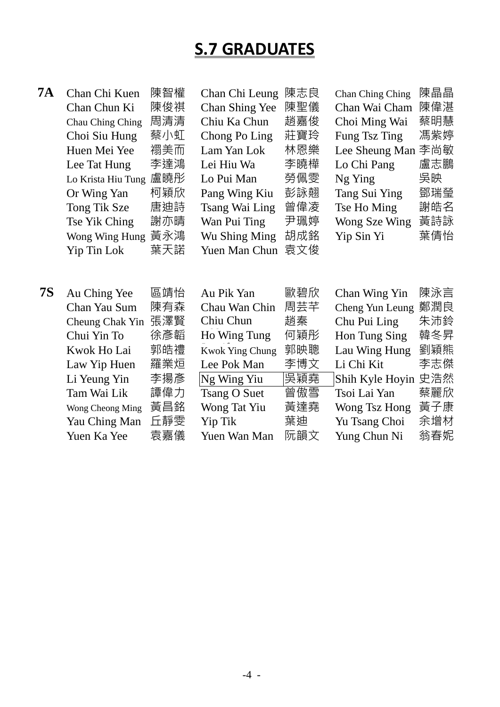### **S.7 GRADUATES**

| 7A | Chan Chi Kuen<br>Chan Chun Ki<br>Chau Ching Ching<br>Choi Siu Hung<br>Huen Mei Yee<br>Lee Tat Hung<br>Lo Krista Hiu Tung<br>Or Wing Yan<br>Tong Tik Sze<br>Tse Yik Ching<br>Wong Wing Hung<br>Yip Tin Lok | 陳智權<br>陳俊祺<br>周清清<br>蔡小虹<br>禤美而<br>李達鴻<br>盧曉彤<br>柯穎欣<br>唐迪詩<br>謝亦晴<br>黃永鴻<br>葉天諾 | Chan Chi Leung<br>Chan Shing Yee<br>Chiu Ka Chun<br>Chong Po Ling<br>Lam Yan Lok<br>Lei Hiu Wa<br>Lo Pui Man<br>Pang Wing Kiu<br>Tsang Wai Ling<br>Wan Pui Ting<br>Wu Shing Ming<br>Yuen Man Chun | 陳志良<br>陳聖儀<br>趙嘉俊<br>莊寶玲<br>林恩樂<br>李曉樺<br>勞佩雯<br>彭詠翹<br>曾偉凌<br>尹珮婷<br>胡成銘<br>袁文俊 | Chan Ching Ching<br>Chan Wai Cham<br>Choi Ming Wai<br>Fung Tsz Ting<br>Lee Sheung Man<br>Lo Chi Pang<br>Ng Ying<br>Tang Sui Ying<br>Tse Ho Ming<br>Wong Sze Wing<br>Yip Sin Yi        | 陳晶晶<br>陳偉湛<br>蔡明慧<br>馮紫婷<br>李尚敏<br>盧志鵬<br>吳映<br>鄧瑞瑩<br>謝皓名<br>黃詩詠<br>葉倩怡  |
|----|-----------------------------------------------------------------------------------------------------------------------------------------------------------------------------------------------------------|----------------------------------------------------------------------------------|---------------------------------------------------------------------------------------------------------------------------------------------------------------------------------------------------|----------------------------------------------------------------------------------|---------------------------------------------------------------------------------------------------------------------------------------------------------------------------------------|---------------------------------------------------------------------------|
| 7S | Au Ching Yee<br>Chan Yau Sum<br>Cheung Chak Yin<br>Chui Yin To<br>Kwok Ho Lai<br>Law Yip Huen<br>Li Yeung Yin<br>Tam Wai Lik<br>Wong Cheong Ming<br>Yau Ching Man<br>Yuen Ka Yee                          | 區靖怡<br>陳有森<br>張澤賢<br>徐彥韜<br>郭皓禮<br>羅業烜<br>李揚彥<br>譚偉力<br>黃昌銘<br>丘靜雯<br>袁嘉儀        | Au Pik Yan<br>Chau Wan Chin<br>Chiu Chun<br>Ho Wing Tung<br><b>Kwok Ying Chung</b><br>Lee Pok Man<br>Ng Wing Yiu<br><b>Tsang O Suet</b><br>Wong Tat Yiu<br>Yip Tik<br>Yuen Wan Man                | 歐碧欣<br>周芸芊<br>趙秦<br>何穎彤<br>郭映聰<br>李博文<br>吳穎堯<br>曾傲雪<br>黃達堯<br>葉迪<br>阮韻文          | Chan Wing Yin<br>Cheng Yun Leung<br>Chu Pui Ling<br>Hon Tung Sing<br>Lau Wing Hung<br>Li Chi Kit<br>Shih Kyle Hoyin<br>Tsoi Lai Yan<br>Wong Tsz Hong<br>Yu Tsang Choi<br>Yung Chun Ni | 陳泳言<br>鄭潤良<br>朱沛鈴<br>韓冬昇<br>劉穎熊<br>李志傑<br>史浩然<br>蔡麗欣<br>黃子康<br>余增材<br>翁春妮 |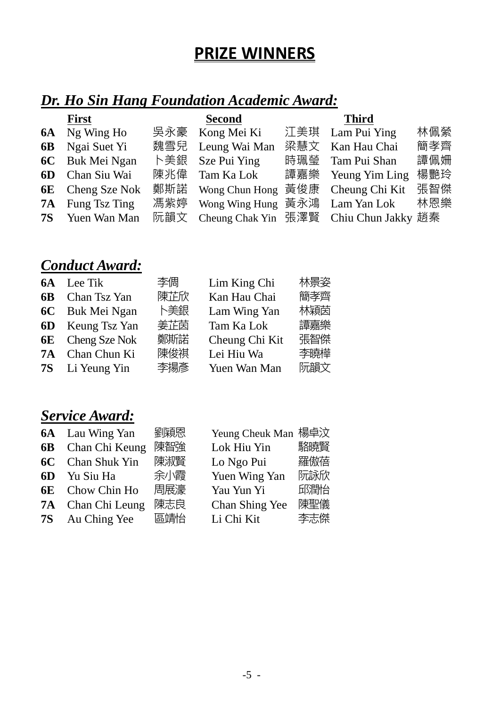### **PRIZE WINNERS**

#### *Dr. Ho Sin Hang Foundation Academic Award:*

|           | <b>First</b>            |     | <b>Second</b>                     | <b>Third</b>                           |     |
|-----------|-------------------------|-----|-----------------------------------|----------------------------------------|-----|
| <b>6A</b> | Ng Wing Ho              |     | 吳永豪 Kong Mei Ki                   | 江美琪 Lam Pui Ying                       | 林佩縈 |
| <b>6B</b> | Ngai Suet Yi            | 魏雪兒 | Leung Wai Man                     | 梁慧文 Kan Hau Chai                       | 簡孝齊 |
|           | 6C Buk Mei Ngan         | ト美銀 | Sze Pui Ying                      | 時珮瑩 Tam Pui Shan                       | 譚佩姍 |
|           | <b>6D</b> Chan Siu Wai  | 陳兆偉 | Tam Ka Lok                        | 譚嘉樂 Yeung Yim Ling                     | 楊艷玲 |
|           | <b>6E</b> Cheng Sze Nok | 鄭斯諾 | Wong Chun Hong 黃俊康 Cheung Chi Kit |                                        | 張智傑 |
|           | <b>7A</b> Fung Tsz Ting | 馮紫婷 | Wong Wing Hung 黃永鴻 Lam Yan Lok    |                                        | 林恩樂 |
| <b>7S</b> | Yuen Wan Man            | 阮韻文 |                                   | Cheung Chak Yin 張澤賢 Chiu Chun Jakky 趙秦 |     |

#### *Conduct Award:*

| <b>6A</b> Lee Tik       | 李倜  | Lim King Chi   | 林景姿 |
|-------------------------|-----|----------------|-----|
| <b>6B</b> Chan Tsz Yan  | 陳芷欣 | Kan Hau Chai   | 簡孝齊 |
| 6C Buk Mei Ngan         | ト美銀 | Lam Wing Yan   | 林穎茵 |
| <b>6D</b> Keung Tsz Yan | 姜芷茵 | Tam Ka Lok     | 譚嘉樂 |
| <b>6E</b> Cheng Sze Nok | 鄭斯諾 | Cheung Chi Kit | 張智傑 |
| 7A Chan Chun Ki         | 陳俊祺 | Lei Hiu Wa     | 李曉樺 |
| 7S Li Yeung Yin         | 李揚彥 | Yuen Wan Man   | 阮韻文 |

#### *Service Award:*

| <b>6A</b> Lau Wing Yan   | 劉穎恩 | Yeung Cheuk Man 楊卓汶 |     |
|--------------------------|-----|---------------------|-----|
| <b>6B</b> Chan Chi Keung | 陳智強 | Lok Hiu Yin         | 駱曉賢 |
| <b>6C</b> Chan Shuk Yin  | 陳淑賢 | Lo Ngo Pui          | 羅傲蓓 |
| <b>6D</b> Yu Siu Ha      | 余小霞 | Yuen Wing Yan       | 阮詠欣 |
| <b>6E</b> Chow Chin Ho   | 周展濠 | Yau Yun Yi          | 邱潤怡 |
| <b>7A</b> Chan Chi Leung | 陳志良 | Chan Shing Yee      | 陳聖儀 |
| 7S Au Ching Yee          | 區靖怡 | Li Chi Kit          | 李志傑 |
|                          |     |                     |     |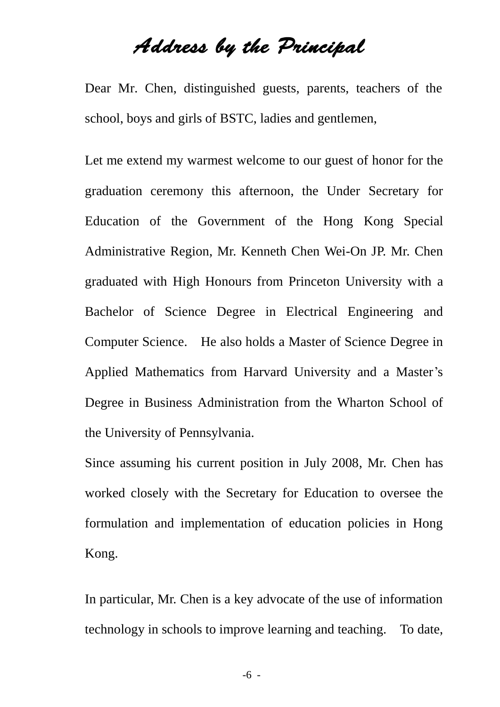### Address by the Principal

Dear Mr. Chen, distinguished guests, parents, teachers of the school, boys and girls of BSTC, ladies and gentlemen,

Let me extend my warmest welcome to our guest of honor for the graduation ceremony this afternoon, the Under Secretary for Education of the Government of the Hong Kong Special Administrative Region, Mr. Kenneth Chen Wei-On JP. Mr. Chen graduated with High Honours from Princeton University with a Bachelor of Science Degree in Electrical Engineering and Computer Science. He also holds a Master of Science Degree in Applied Mathematics from Harvard University and a Master's Degree in Business Administration from the Wharton School of the University of Pennsylvania.

Since assuming his current position in July 2008, Mr. Chen has worked closely with the Secretary for Education to oversee the formulation and implementation of education policies in Hong Kong.

In particular, Mr. Chen is a key advocate of the use of information technology in schools to improve learning and teaching. To date,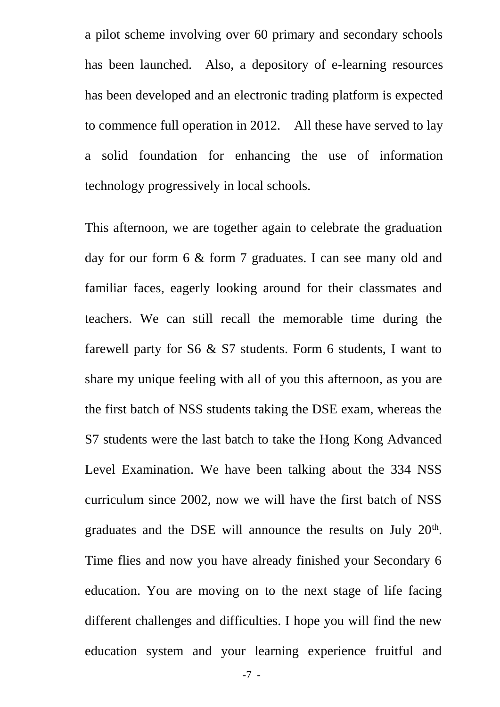a pilot scheme involving over 60 primary and secondary schools has been launched. Also, a depository of e-learning resources has been developed and an electronic trading platform is expected to commence full operation in 2012. All these have served to lay a solid foundation for enhancing the use of information technology progressively in local schools.

This afternoon, we are together again to celebrate the graduation day for our form 6 & form 7 graduates. I can see many old and familiar faces, eagerly looking around for their classmates and teachers. We can still recall the memorable time during the farewell party for S6 & S7 students. Form 6 students, I want to share my unique feeling with all of you this afternoon, as you are the first batch of NSS students taking the DSE exam, whereas the S7 students were the last batch to take the Hong Kong Advanced Level Examination. We have been talking about the 334 NSS curriculum since 2002, now we will have the first batch of NSS graduates and the DSE will announce the results on July  $20<sup>th</sup>$ . Time flies and now you have already finished your Secondary 6 education. You are moving on to the next stage of life facing different challenges and difficulties. I hope you will find the new education system and your learning experience fruitful and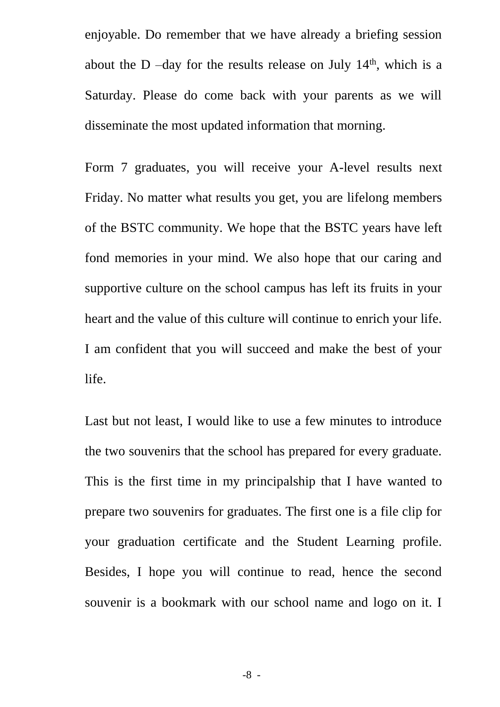enjoyable. Do remember that we have already a briefing session about the D –day for the results release on July  $14<sup>th</sup>$ , which is a Saturday. Please do come back with your parents as we will disseminate the most updated information that morning.

Form 7 graduates, you will receive your A-level results next Friday. No matter what results you get, you are lifelong members of the BSTC community. We hope that the BSTC years have left fond memories in your mind. We also hope that our caring and supportive culture on the school campus has left its fruits in your heart and the value of this culture will continue to enrich your life. I am confident that you will succeed and make the best of your life.

Last but not least, I would like to use a few minutes to introduce the two souvenirs that the school has prepared for every graduate. This is the first time in my principalship that I have wanted to prepare two souvenirs for graduates. The first one is a file clip for your graduation certificate and the Student Learning profile. Besides, I hope you will continue to read, hence the second souvenir is a bookmark with our school name and logo on it. I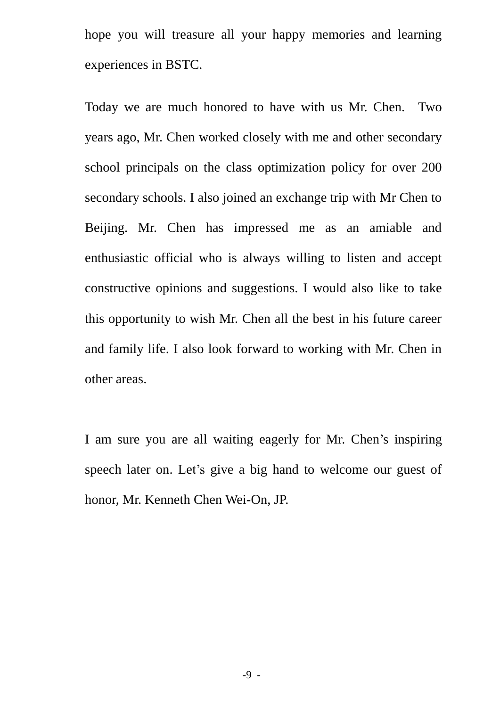hope you will treasure all your happy memories and learning experiences in BSTC.

Today we are much honored to have with us Mr. Chen. Two years ago, Mr. Chen worked closely with me and other secondary school principals on the class optimization policy for over 200 secondary schools. I also joined an exchange trip with Mr Chen to Beijing. Mr. Chen has impressed me as an amiable and enthusiastic official who is always willing to listen and accept constructive opinions and suggestions. I would also like to take this opportunity to wish Mr. Chen all the best in his future career and family life. I also look forward to working with Mr. Chen in other areas.

I am sure you are all waiting eagerly for Mr. Chen's inspiring speech later on. Let's give a big hand to welcome our guest of honor, Mr. Kenneth Chen Wei-On, JP.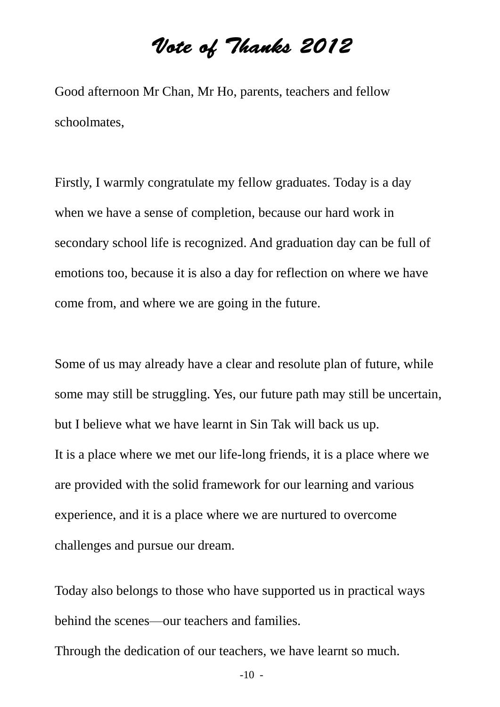## Vote of Thanks 2012

Good afternoon Mr Chan, Mr Ho, parents, teachers and fellow schoolmates,

Firstly, I warmly congratulate my fellow graduates. Today is a day when we have a sense of completion, because our hard work in secondary school life is recognized. And graduation day can be full of emotions too, because it is also a day for reflection on where we have come from, and where we are going in the future.

Some of us may already have a clear and resolute plan of future, while some may still be struggling. Yes, our future path may still be uncertain, but I believe what we have learnt in Sin Tak will back us up. It is a place where we met our life-long friends, it is a place where we are provided with the solid framework for our learning and various experience, and it is a place where we are nurtured to overcome challenges and pursue our dream.

Today also belongs to those who have supported us in practical ways behind the scenes—our teachers and families.

Through the dedication of our teachers, we have learnt so much.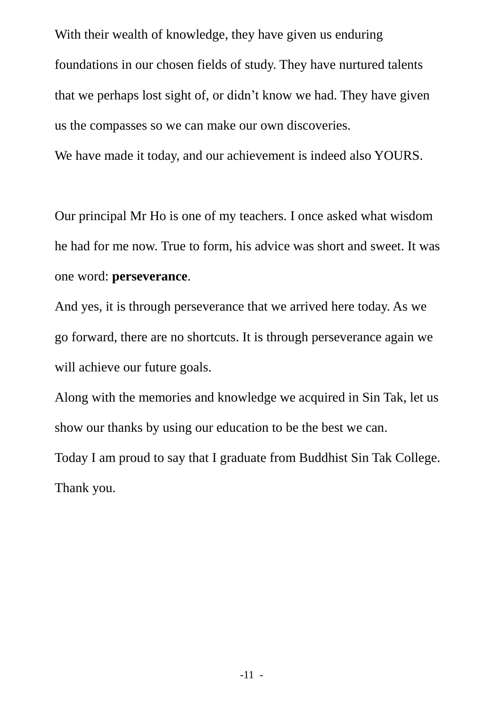With their wealth of knowledge, they have given us enduring foundations in our chosen fields of study. They have nurtured talents that we perhaps lost sight of, or didn't know we had. They have given us the compasses so we can make our own discoveries.

We have made it today, and our achievement is indeed also YOURS.

Our principal Mr Ho is one of my teachers. I once asked what wisdom he had for me now. True to form, his advice was short and sweet. It was one word: **perseverance**.

And yes, it is through perseverance that we arrived here today. As we go forward, there are no shortcuts. It is through perseverance again we will achieve our future goals.

Along with the memories and knowledge we acquired in Sin Tak, let us show our thanks by using our education to be the best we can.

Today I am proud to say that I graduate from Buddhist Sin Tak College. Thank you.